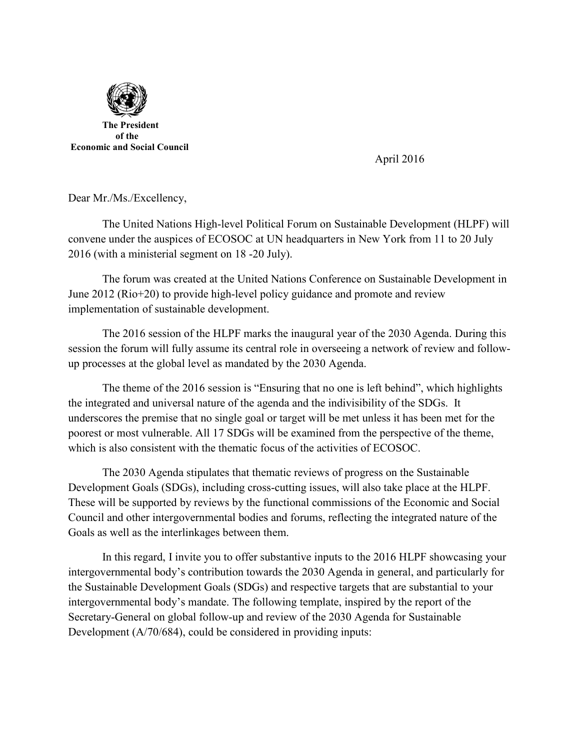

April 2016

Dear Mr./Ms./Excellency,

The United Nations High-level Political Forum on Sustainable Development (HLPF) will convene under the auspices of ECOSOC at UN headquarters in New York from 11 to 20 July 2016 (with a ministerial segment on 18 -20 July).

The forum was created at the United Nations Conference on Sustainable Development in June 2012 (Rio+20) to provide high-level policy guidance and promote and review implementation of sustainable development.

The 2016 session of the HLPF marks the inaugural year of the 2030 Agenda. During this session the forum will fully assume its central role in overseeing a network of review and followup processes at the global level as mandated by the 2030 Agenda.

The theme of the 2016 session is "Ensuring that no one is left behind", which highlights the integrated and universal nature of the agenda and the indivisibility of the SDGs. It underscores the premise that no single goal or target will be met unless it has been met for the poorest or most vulnerable. All 17 SDGs will be examined from the perspective of the theme, which is also consistent with the thematic focus of the activities of ECOSOC.

The 2030 Agenda stipulates that thematic reviews of progress on the Sustainable Development Goals (SDGs), including cross-cutting issues, will also take place at the HLPF. These will be supported by reviews by the functional commissions of the Economic and Social Council and other intergovernmental bodies and forums, reflecting the integrated nature of the Goals as well as the interlinkages between them.

In this regard, I invite you to offer substantive inputs to the 2016 HLPF showcasing your intergovernmental body's contribution towards the 2030 Agenda in general, and particularly for the Sustainable Development Goals (SDGs) and respective targets that are substantial to your intergovernmental body's mandate. The following template, inspired by the report of the Secretary-General on global follow-up and review of the 2030 Agenda for Sustainable Development (A/70/684), could be considered in providing inputs: